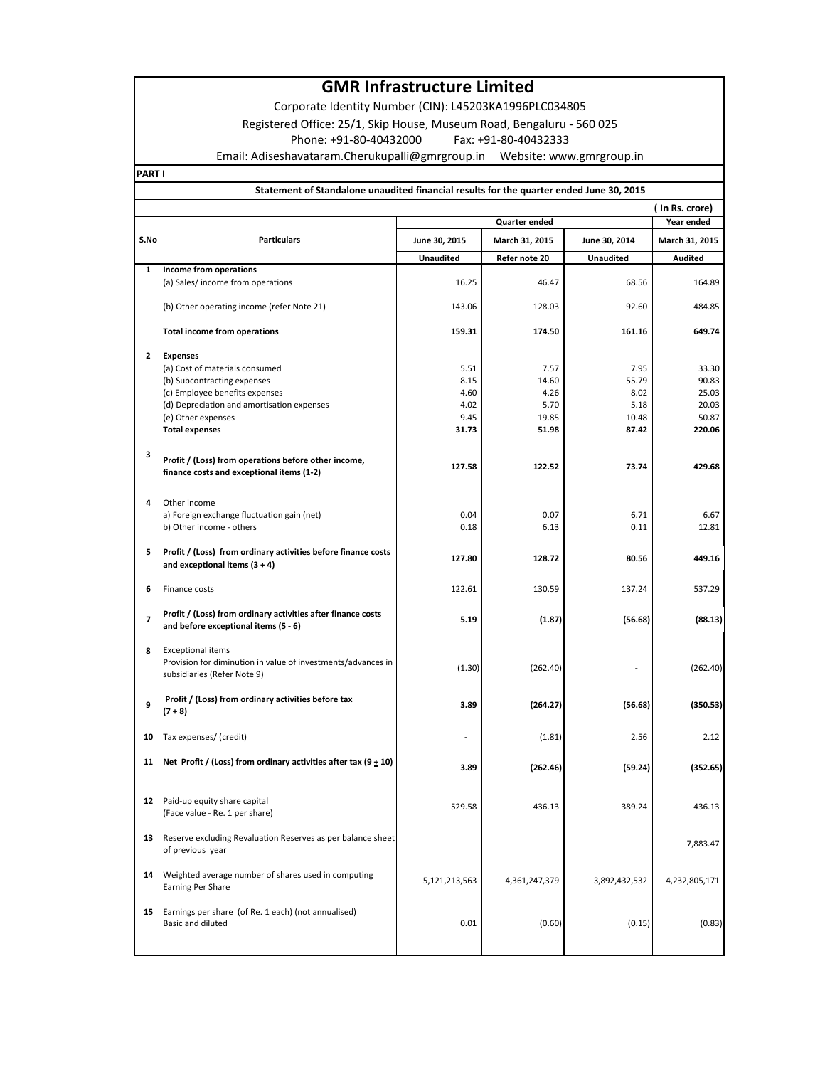# **GMR Infrastructure Limited**

Corporate Identity Number (CIN): L45203KA1996PLC034805

**PART I**

| Registered Office: 25/1, Skip House, Museum Road, Bengaluru - 560 025                   |                                                                                                                         |                  |                |                  |                |  |  |
|-----------------------------------------------------------------------------------------|-------------------------------------------------------------------------------------------------------------------------|------------------|----------------|------------------|----------------|--|--|
| Phone: +91-80-40432000<br>Fax: +91-80-40432333                                          |                                                                                                                         |                  |                |                  |                |  |  |
|                                                                                         |                                                                                                                         |                  |                |                  |                |  |  |
|                                                                                         | ART I                                                                                                                   |                  |                |                  |                |  |  |
| Statement of Standalone unaudited financial results for the quarter ended June 30, 2015 |                                                                                                                         |                  |                |                  |                |  |  |
|                                                                                         |                                                                                                                         |                  |                |                  | (In Rs. crore) |  |  |
|                                                                                         |                                                                                                                         |                  | Quarter ended  |                  | Year ended     |  |  |
| S.No                                                                                    | <b>Particulars</b>                                                                                                      | June 30, 2015    | March 31, 2015 | June 30, 2014    | March 31, 2015 |  |  |
|                                                                                         |                                                                                                                         | <b>Unaudited</b> | Refer note 20  | <b>Unaudited</b> | <b>Audited</b> |  |  |
| $\mathbf{1}$                                                                            | Income from operations                                                                                                  |                  |                |                  |                |  |  |
|                                                                                         | (a) Sales/ income from operations                                                                                       | 16.25            | 46.47          | 68.56            | 164.89         |  |  |
|                                                                                         | (b) Other operating income (refer Note 21)                                                                              | 143.06           | 128.03         | 92.60            | 484.85         |  |  |
|                                                                                         | <b>Total income from operations</b>                                                                                     | 159.31           | 174.50         | 161.16           | 649.74         |  |  |
| $\overline{2}$                                                                          | <b>Expenses</b>                                                                                                         |                  |                |                  |                |  |  |
|                                                                                         | (a) Cost of materials consumed                                                                                          | 5.51             | 7.57           | 7.95             | 33.30          |  |  |
|                                                                                         | (b) Subcontracting expenses                                                                                             | 8.15             | 14.60          | 55.79            | 90.83          |  |  |
|                                                                                         | (c) Employee benefits expenses                                                                                          | 4.60             | 4.26           | 8.02             | 25.03          |  |  |
|                                                                                         | (d) Depreciation and amortisation expenses                                                                              | 4.02             | 5.70           | 5.18             | 20.03          |  |  |
|                                                                                         | (e) Other expenses                                                                                                      | 9.45             | 19.85          | 10.48            | 50.87          |  |  |
|                                                                                         | <b>Total expenses</b>                                                                                                   | 31.73            | 51.98          | 87.42            | 220.06         |  |  |
| 3                                                                                       | Profit / (Loss) from operations before other income,<br>finance costs and exceptional items (1-2)                       | 127.58           | 122.52         | 73.74            | 429.68         |  |  |
| $\overline{\mathbf{4}}$                                                                 | Other income<br>a) Foreign exchange fluctuation gain (net)                                                              | 0.04             | 0.07           | 6.71             | 6.67           |  |  |
|                                                                                         | b) Other income - others                                                                                                | 0.18             | 6.13           | 0.11             | 12.81          |  |  |
| 5                                                                                       | Profit / (Loss) from ordinary activities before finance costs<br>and exceptional items $(3 + 4)$                        | 127.80           | 128.72         | 80.56            | 449.16         |  |  |
| 6                                                                                       | Finance costs                                                                                                           | 122.61           | 130.59         | 137.24           | 537.29         |  |  |
| $\overline{7}$                                                                          | Profit / (Loss) from ordinary activities after finance costs<br>and before exceptional items (5 - 6)                    | 5.19             | (1.87)         | (56.68)          | (88.13)        |  |  |
| 8                                                                                       | <b>Exceptional items</b><br>Provision for diminution in value of investments/advances in<br>subsidiaries (Refer Note 9) | (1.30)           | (262.40)       |                  | (262.40)       |  |  |
| 9                                                                                       | Profit / (Loss) from ordinary activities before tax<br>$(7 + 8)$                                                        | 3.89             | (264.27)       | (56.68)          | (350.53)       |  |  |
| 10                                                                                      | Tax expenses/ (credit)                                                                                                  |                  | (1.81)         | 2.56             | 2.12           |  |  |
| 11                                                                                      | Net Profit / (Loss) from ordinary activities after tax $(9 + 10)$                                                       | 3.89             | (262.46)       | (59.24)          | (352.65)       |  |  |
| 12                                                                                      | Paid-up equity share capital<br>(Face value - Re. 1 per share)                                                          | 529.58           | 436.13         | 389.24           | 436.13         |  |  |

of previous year 7,883.47

Weighted average number of shares used in computing<br>Earning Per Share 4,232,805,171

Basic and diluted 0.01 (0.60) (0.15) (0.83)

**13** Reserve excluding Revaluation Reserves as per balance sheet of previous year

**14** Weighted average number of shares used in computing

**15** Earnings per share (of Re. 1 each) (not annualised)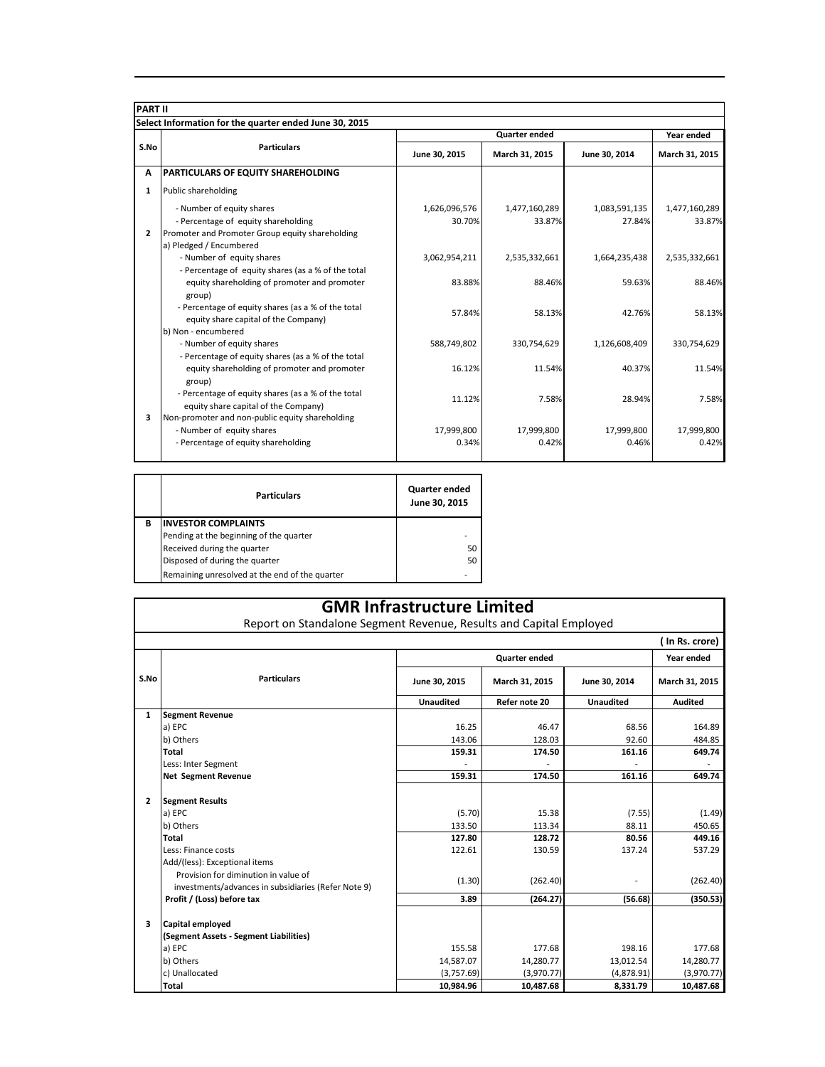| <b>PART II</b> |                                                                                                                                                |                         |                         |                         |                         |  |  |
|----------------|------------------------------------------------------------------------------------------------------------------------------------------------|-------------------------|-------------------------|-------------------------|-------------------------|--|--|
|                | Select Information for the quarter ended June 30, 2015                                                                                         |                         |                         |                         |                         |  |  |
|                | <b>Particulars</b>                                                                                                                             |                         | <b>Quarter ended</b>    |                         |                         |  |  |
| S.No           |                                                                                                                                                | June 30, 2015           | March 31, 2015          | June 30, 2014           | March 31, 2015          |  |  |
| A              | <b>PARTICULARS OF EQUITY SHAREHOLDING</b>                                                                                                      |                         |                         |                         |                         |  |  |
| $\mathbf{1}$   | Public shareholding                                                                                                                            |                         |                         |                         |                         |  |  |
| $\overline{2}$ | - Number of equity shares<br>- Percentage of equity shareholding<br>Promoter and Promoter Group equity shareholding<br>a) Pledged / Encumbered | 1,626,096,576<br>30.70% | 1,477,160,289<br>33.87% | 1,083,591,135<br>27.84% | 1,477,160,289<br>33.87% |  |  |
|                | - Number of equity shares<br>- Percentage of equity shares (as a % of the total                                                                | 3,062,954,211           | 2,535,332,661           | 1,664,235,438           | 2,535,332,661           |  |  |
|                | equity shareholding of promoter and promoter<br>group)                                                                                         | 83.88%                  | 88.46%                  | 59.63%                  | 88.46%                  |  |  |
|                | - Percentage of equity shares (as a % of the total<br>equity share capital of the Company)                                                     | 57.84%                  | 58.13%                  | 42.76%                  | 58.13%                  |  |  |
|                | b) Non - encumbered<br>- Number of equity shares<br>- Percentage of equity shares (as a % of the total                                         | 588,749,802             | 330,754,629             | 1,126,608,409           | 330,754,629             |  |  |
|                | equity shareholding of promoter and promoter<br>group)                                                                                         | 16.12%                  | 11.54%                  | 40.37%                  | 11.54%                  |  |  |
|                | - Percentage of equity shares (as a % of the total<br>equity share capital of the Company)                                                     | 11.12%                  | 7.58%                   | 28.94%                  | 7.58%                   |  |  |
| 3              | Non-promoter and non-public equity shareholding<br>- Number of equity shares<br>- Percentage of equity shareholding                            | 17,999,800<br>0.34%     | 17,999,800<br>0.42%     | 17,999,800<br>0.46%     | 17,999,800<br>0.42%     |  |  |

|   | <b>Particulars</b>                             | Quarter ended<br>June 30, 2015 |
|---|------------------------------------------------|--------------------------------|
| B | <b>INVESTOR COMPLAINTS</b>                     |                                |
|   | Pending at the beginning of the quarter        |                                |
|   | Received during the quarter                    | 50                             |
|   | Disposed of during the quarter                 | 50                             |
|   | Remaining unresolved at the end of the quarter |                                |

Report on Standalone Segment Revenue, Results and Capital Employed

| ( In Rs. crore) |                                                     |                  |                |                  |                |
|-----------------|-----------------------------------------------------|------------------|----------------|------------------|----------------|
|                 |                                                     | Quarter ended    |                |                  | Year ended     |
| S.No            | <b>Particulars</b>                                  | June 30, 2015    | March 31, 2015 | June 30, 2014    | March 31, 2015 |
|                 |                                                     | <b>Unaudited</b> | Refer note 20  | <b>Unaudited</b> | <b>Audited</b> |
| $\mathbf{1}$    | <b>Segment Revenue</b>                              |                  |                |                  |                |
|                 | a) EPC                                              | 16.25            | 46.47          | 68.56            | 164.89         |
|                 | b) Others                                           | 143.06           | 128.03         | 92.60            | 484.85         |
|                 | <b>Total</b>                                        | 159.31           | 174.50         | 161.16           | 649.74         |
|                 | Less: Inter Segment                                 |                  |                |                  |                |
|                 | <b>Net Segment Revenue</b>                          | 159.31           | 174.50         | 161.16           | 649.74         |
|                 |                                                     |                  |                |                  |                |
| $\overline{2}$  | <b>Segment Results</b>                              |                  |                |                  |                |
|                 | a) EPC                                              | (5.70)           | 15.38          | (7.55)           | (1.49)         |
|                 | b) Others                                           | 133.50           | 113.34         | 88.11            | 450.65         |
|                 | Total                                               | 127.80           | 128.72         | 80.56            | 449.16         |
|                 | Less: Finance costs                                 | 122.61           | 130.59         | 137.24           | 537.29         |
|                 | Add/(less): Exceptional items                       |                  |                |                  |                |
|                 | Provision for diminution in value of                | (1.30)           | (262.40)       |                  | (262.40)       |
|                 | investments/advances in subsidiaries (Refer Note 9) |                  |                |                  |                |
|                 | Profit / (Loss) before tax                          | 3.89             | (264.27)       | (56.68)          | (350.53)       |
|                 |                                                     |                  |                |                  |                |
| 3               | Capital employed                                    |                  |                |                  |                |
|                 | (Segment Assets - Segment Liabilities)              |                  |                |                  |                |
|                 | a) EPC                                              | 155.58           | 177.68         | 198.16           | 177.68         |
|                 | b) Others                                           | 14,587.07        | 14,280.77      | 13,012.54        | 14,280.77      |
|                 | c) Unallocated                                      | (3,757.69)       | (3,970.77)     | (4,878.91)       | (3,970.77)     |
|                 | Total                                               | 10,984.96        | 10,487.68      | 8,331.79         | 10,487.68      |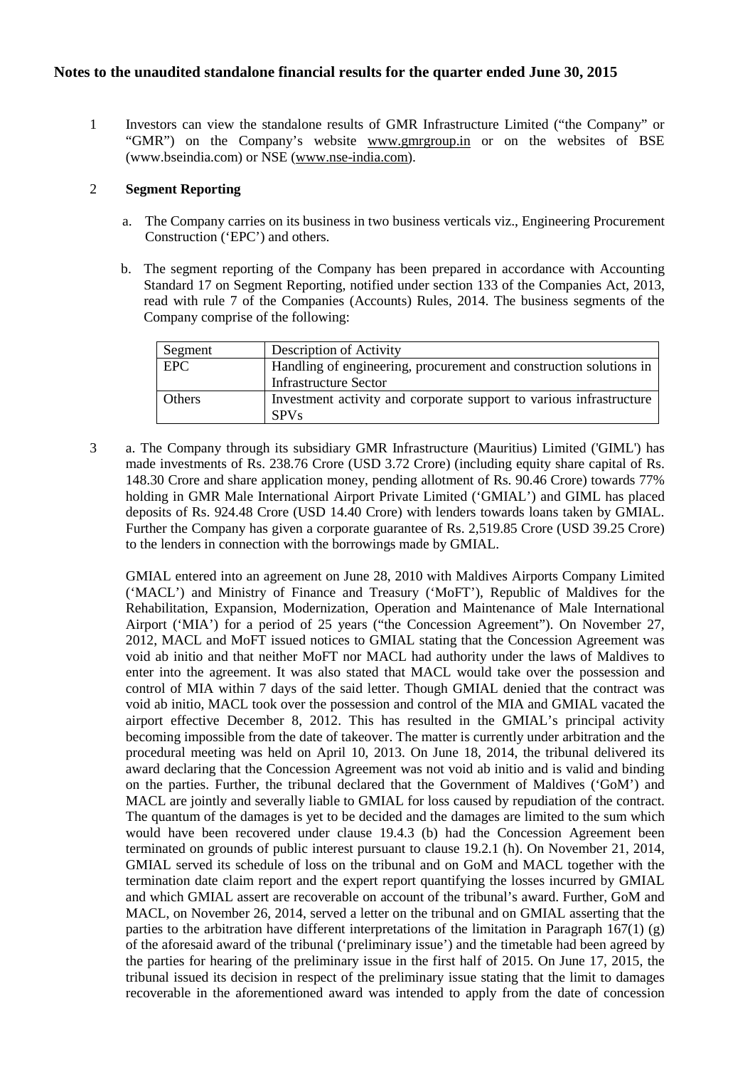1 Investors can view the standalone results of GMR Infrastructure Limited ("the Company" or "GMR") on the Company's website [www.gmrgroup.in](http://www.gmrgroup.in/) or on the websites of BSE (www.bseindia.com) or NSE [\(www.nse-india.com\)](http://www.nse-india.com/).

## 2 **Segment Reporting**

- a. The Company carries on its business in two business verticals viz., Engineering Procurement Construction ('EPC') and others.
- b. The segment reporting of the Company has been prepared in accordance with Accounting Standard 17 on Segment Reporting, notified under section 133 of the Companies Act, 2013, read with rule 7 of the Companies (Accounts) Rules, 2014. The business segments of the Company comprise of the following:

| Segment    | Description of Activity                                             |
|------------|---------------------------------------------------------------------|
| <b>EPC</b> | Handling of engineering, procurement and construction solutions in  |
|            | <b>Infrastructure Sector</b>                                        |
| Others     | Investment activity and corporate support to various infrastructure |
|            | <b>SPVs</b>                                                         |

3 a. The Company through its subsidiary GMR Infrastructure (Mauritius) Limited ('GIML') has made investments of Rs. 238.76 Crore (USD 3.72 Crore) (including equity share capital of Rs. 148.30 Crore and share application money, pending allotment of Rs. 90.46 Crore) towards 77% holding in GMR Male International Airport Private Limited ('GMIAL') and GIML has placed deposits of Rs. 924.48 Crore (USD 14.40 Crore) with lenders towards loans taken by GMIAL. Further the Company has given a corporate guarantee of Rs. 2,519.85 Crore (USD 39.25 Crore) to the lenders in connection with the borrowings made by GMIAL.

GMIAL entered into an agreement on June 28, 2010 with Maldives Airports Company Limited ('MACL') and Ministry of Finance and Treasury ('MoFT'), Republic of Maldives for the Rehabilitation, Expansion, Modernization, Operation and Maintenance of Male International Airport ('MIA') for a period of 25 years ("the Concession Agreement"). On November 27, 2012, MACL and MoFT issued notices to GMIAL stating that the Concession Agreement was void ab initio and that neither MoFT nor MACL had authority under the laws of Maldives to enter into the agreement. It was also stated that MACL would take over the possession and control of MIA within 7 days of the said letter. Though GMIAL denied that the contract was void ab initio, MACL took over the possession and control of the MIA and GMIAL vacated the airport effective December 8, 2012. This has resulted in the GMIAL's principal activity becoming impossible from the date of takeover. The matter is currently under arbitration and the procedural meeting was held on April 10, 2013. On June 18, 2014, the tribunal delivered its award declaring that the Concession Agreement was not void ab initio and is valid and binding on the parties. Further, the tribunal declared that the Government of Maldives ('GoM') and MACL are jointly and severally liable to GMIAL for loss caused by repudiation of the contract. The quantum of the damages is yet to be decided and the damages are limited to the sum which would have been recovered under clause 19.4.3 (b) had the Concession Agreement been terminated on grounds of public interest pursuant to clause 19.2.1 (h). On November 21, 2014, GMIAL served its schedule of loss on the tribunal and on GoM and MACL together with the termination date claim report and the expert report quantifying the losses incurred by GMIAL and which GMIAL assert are recoverable on account of the tribunal's award. Further, GoM and MACL, on November 26, 2014, served a letter on the tribunal and on GMIAL asserting that the parties to the arbitration have different interpretations of the limitation in Paragraph  $167(1)$  (g) of the aforesaid award of the tribunal ('preliminary issue') and the timetable had been agreed by the parties for hearing of the preliminary issue in the first half of 2015. On June 17, 2015, the tribunal issued its decision in respect of the preliminary issue stating that the limit to damages recoverable in the aforementioned award was intended to apply from the date of concession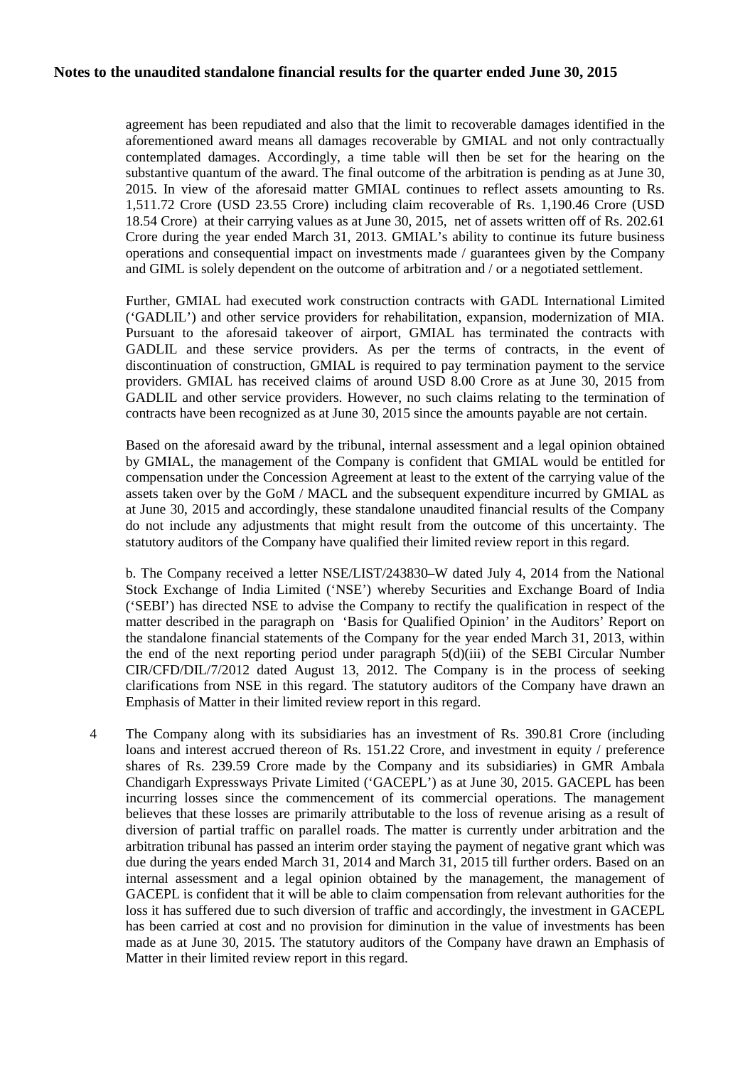agreement has been repudiated and also that the limit to recoverable damages identified in the aforementioned award means all damages recoverable by GMIAL and not only contractually contemplated damages. Accordingly, a time table will then be set for the hearing on the substantive quantum of the award. The final outcome of the arbitration is pending as at June 30, 2015. In view of the aforesaid matter GMIAL continues to reflect assets amounting to Rs. 1,511.72 Crore (USD 23.55 Crore) including claim recoverable of Rs. 1,190.46 Crore (USD 18.54 Crore) at their carrying values as at June 30, 2015, net of assets written off of Rs. 202.61 Crore during the year ended March 31, 2013. GMIAL's ability to continue its future business operations and consequential impact on investments made / guarantees given by the Company and GIML is solely dependent on the outcome of arbitration and / or a negotiated settlement.

Further, GMIAL had executed work construction contracts with GADL International Limited ('GADLIL') and other service providers for rehabilitation, expansion, modernization of MIA. Pursuant to the aforesaid takeover of airport, GMIAL has terminated the contracts with GADLIL and these service providers. As per the terms of contracts, in the event of discontinuation of construction, GMIAL is required to pay termination payment to the service providers. GMIAL has received claims of around USD 8.00 Crore as at June 30, 2015 from GADLIL and other service providers. However, no such claims relating to the termination of contracts have been recognized as at June 30, 2015 since the amounts payable are not certain.

Based on the aforesaid award by the tribunal, internal assessment and a legal opinion obtained by GMIAL, the management of the Company is confident that GMIAL would be entitled for compensation under the Concession Agreement at least to the extent of the carrying value of the assets taken over by the GoM / MACL and the subsequent expenditure incurred by GMIAL as at June 30, 2015 and accordingly, these standalone unaudited financial results of the Company do not include any adjustments that might result from the outcome of this uncertainty. The statutory auditors of the Company have qualified their limited review report in this regard.

b. The Company received a letter NSE/LIST/243830–W dated July 4, 2014 from the National Stock Exchange of India Limited ('NSE') whereby Securities and Exchange Board of India ('SEBI') has directed NSE to advise the Company to rectify the qualification in respect of the matter described in the paragraph on 'Basis for Qualified Opinion' in the Auditors' Report on the standalone financial statements of the Company for the year ended March 31, 2013, within the end of the next reporting period under paragraph  $5(d)(iii)$  of the SEBI Circular Number CIR/CFD/DIL/7/2012 dated August 13, 2012. The Company is in the process of seeking clarifications from NSE in this regard. The statutory auditors of the Company have drawn an Emphasis of Matter in their limited review report in this regard.

4 The Company along with its subsidiaries has an investment of Rs. 390.81 Crore (including loans and interest accrued thereon of Rs. 151.22 Crore, and investment in equity / preference shares of Rs. 239.59 Crore made by the Company and its subsidiaries) in GMR Ambala Chandigarh Expressways Private Limited ('GACEPL') as at June 30, 2015. GACEPL has been incurring losses since the commencement of its commercial operations. The management believes that these losses are primarily attributable to the loss of revenue arising as a result of diversion of partial traffic on parallel roads. The matter is currently under arbitration and the arbitration tribunal has passed an interim order staying the payment of negative grant which was due during the years ended March 31, 2014 and March 31, 2015 till further orders. Based on an internal assessment and a legal opinion obtained by the management, the management of GACEPL is confident that it will be able to claim compensation from relevant authorities for the loss it has suffered due to such diversion of traffic and accordingly, the investment in GACEPL has been carried at cost and no provision for diminution in the value of investments has been made as at June 30, 2015. The statutory auditors of the Company have drawn an Emphasis of Matter in their limited review report in this regard.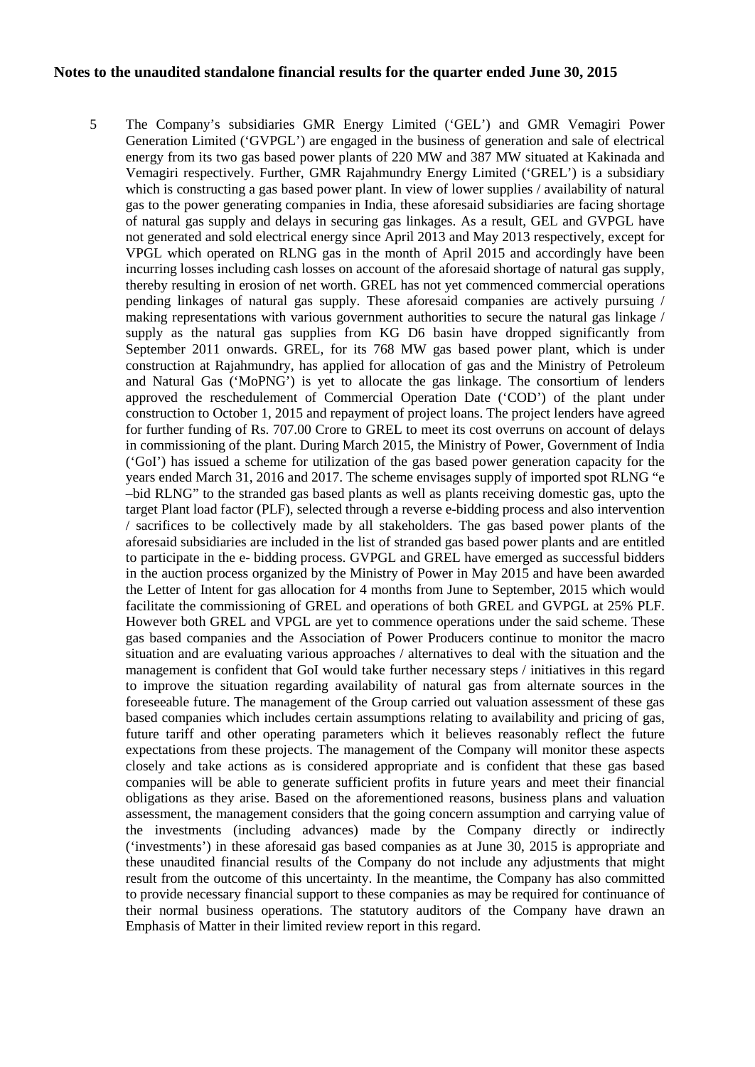5 The Company's subsidiaries GMR Energy Limited ('GEL') and GMR Vemagiri Power Generation Limited ('GVPGL') are engaged in the business of generation and sale of electrical energy from its two gas based power plants of 220 MW and 387 MW situated at Kakinada and Vemagiri respectively. Further, GMR Rajahmundry Energy Limited ('GREL') is a subsidiary which is constructing a gas based power plant. In view of lower supplies / availability of natural gas to the power generating companies in India, these aforesaid subsidiaries are facing shortage of natural gas supply and delays in securing gas linkages. As a result, GEL and GVPGL have not generated and sold electrical energy since April 2013 and May 2013 respectively, except for VPGL which operated on RLNG gas in the month of April 2015 and accordingly have been incurring losses including cash losses on account of the aforesaid shortage of natural gas supply, thereby resulting in erosion of net worth. GREL has not yet commenced commercial operations pending linkages of natural gas supply. These aforesaid companies are actively pursuing / making representations with various government authorities to secure the natural gas linkage / supply as the natural gas supplies from KG D6 basin have dropped significantly from September 2011 onwards. GREL, for its 768 MW gas based power plant, which is under construction at Rajahmundry, has applied for allocation of gas and the Ministry of Petroleum and Natural Gas ('MoPNG') is yet to allocate the gas linkage. The consortium of lenders approved the reschedulement of Commercial Operation Date ('COD') of the plant under construction to October 1, 2015 and repayment of project loans. The project lenders have agreed for further funding of Rs. 707.00 Crore to GREL to meet its cost overruns on account of delays in commissioning of the plant. During March 2015, the Ministry of Power, Government of India ('GoI') has issued a scheme for utilization of the gas based power generation capacity for the years ended March 31, 2016 and 2017. The scheme envisages supply of imported spot RLNG "e –bid RLNG" to the stranded gas based plants as well as plants receiving domestic gas, upto the target Plant load factor (PLF), selected through a reverse e-bidding process and also intervention / sacrifices to be collectively made by all stakeholders. The gas based power plants of the aforesaid subsidiaries are included in the list of stranded gas based power plants and are entitled to participate in the e- bidding process. GVPGL and GREL have emerged as successful bidders in the auction process organized by the Ministry of Power in May 2015 and have been awarded the Letter of Intent for gas allocation for 4 months from June to September, 2015 which would facilitate the commissioning of GREL and operations of both GREL and GVPGL at 25% PLF. However both GREL and VPGL are yet to commence operations under the said scheme. These gas based companies and the Association of Power Producers continue to monitor the macro situation and are evaluating various approaches / alternatives to deal with the situation and the management is confident that GoI would take further necessary steps / initiatives in this regard to improve the situation regarding availability of natural gas from alternate sources in the foreseeable future. The management of the Group carried out valuation assessment of these gas based companies which includes certain assumptions relating to availability and pricing of gas, future tariff and other operating parameters which it believes reasonably reflect the future expectations from these projects. The management of the Company will monitor these aspects closely and take actions as is considered appropriate and is confident that these gas based companies will be able to generate sufficient profits in future years and meet their financial obligations as they arise. Based on the aforementioned reasons, business plans and valuation assessment, the management considers that the going concern assumption and carrying value of the investments (including advances) made by the Company directly or indirectly ('investments') in these aforesaid gas based companies as at June 30, 2015 is appropriate and these unaudited financial results of the Company do not include any adjustments that might result from the outcome of this uncertainty. In the meantime, the Company has also committed to provide necessary financial support to these companies as may be required for continuance of their normal business operations. The statutory auditors of the Company have drawn an Emphasis of Matter in their limited review report in this regard.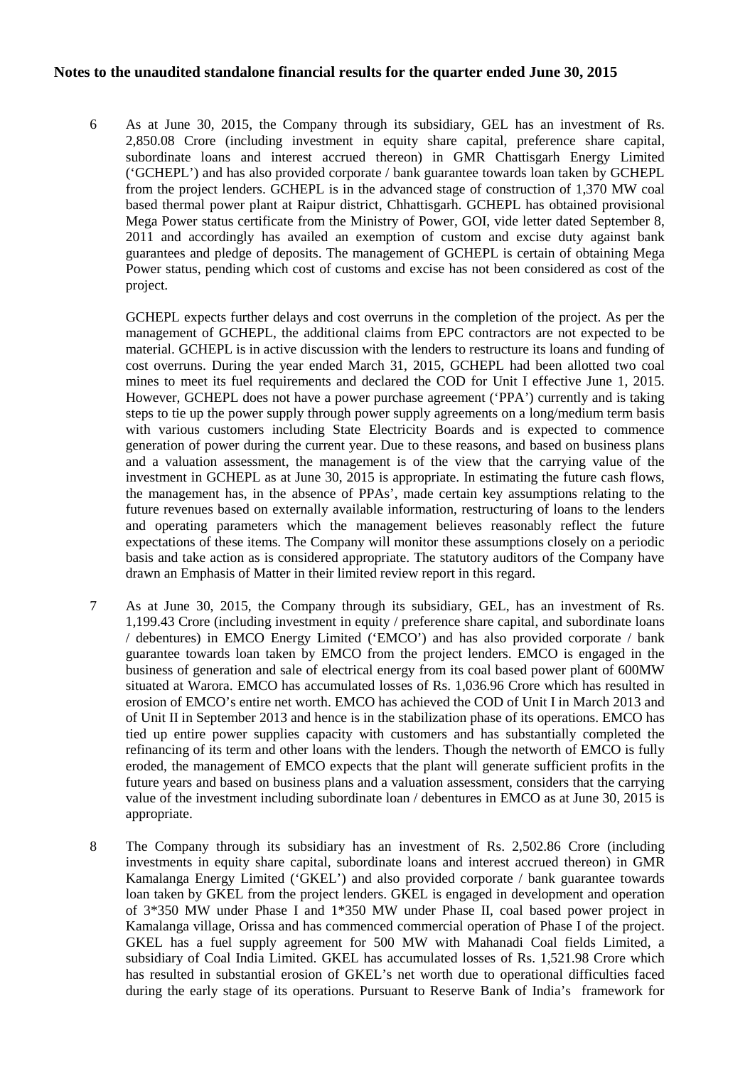6 As at June 30, 2015, the Company through its subsidiary, GEL has an investment of Rs. 2,850.08 Crore (including investment in equity share capital, preference share capital, subordinate loans and interest accrued thereon) in GMR Chattisgarh Energy Limited ('GCHEPL') and has also provided corporate / bank guarantee towards loan taken by GCHEPL from the project lenders. GCHEPL is in the advanced stage of construction of 1,370 MW coal based thermal power plant at Raipur district, Chhattisgarh. GCHEPL has obtained provisional Mega Power status certificate from the Ministry of Power, GOI, vide letter dated September 8, 2011 and accordingly has availed an exemption of custom and excise duty against bank guarantees and pledge of deposits. The management of GCHEPL is certain of obtaining Mega Power status, pending which cost of customs and excise has not been considered as cost of the project.

GCHEPL expects further delays and cost overruns in the completion of the project. As per the management of GCHEPL, the additional claims from EPC contractors are not expected to be material. GCHEPL is in active discussion with the lenders to restructure its loans and funding of cost overruns. During the year ended March 31, 2015, GCHEPL had been allotted two coal mines to meet its fuel requirements and declared the COD for Unit I effective June 1, 2015. However, GCHEPL does not have a power purchase agreement ('PPA') currently and is taking steps to tie up the power supply through power supply agreements on a long/medium term basis with various customers including State Electricity Boards and is expected to commence generation of power during the current year. Due to these reasons, and based on business plans and a valuation assessment, the management is of the view that the carrying value of the investment in GCHEPL as at June 30, 2015 is appropriate. In estimating the future cash flows, the management has, in the absence of PPAs', made certain key assumptions relating to the future revenues based on externally available information, restructuring of loans to the lenders and operating parameters which the management believes reasonably reflect the future expectations of these items. The Company will monitor these assumptions closely on a periodic basis and take action as is considered appropriate. The statutory auditors of the Company have drawn an Emphasis of Matter in their limited review report in this regard.

- 7 As at June 30, 2015, the Company through its subsidiary, GEL, has an investment of Rs. 1,199.43 Crore (including investment in equity / preference share capital, and subordinate loans / debentures) in EMCO Energy Limited ('EMCO') and has also provided corporate / bank guarantee towards loan taken by EMCO from the project lenders. EMCO is engaged in the business of generation and sale of electrical energy from its coal based power plant of 600MW situated at Warora. EMCO has accumulated losses of Rs. 1,036.96 Crore which has resulted in erosion of EMCO's entire net worth. EMCO has achieved the COD of Unit I in March 2013 and of Unit II in September 2013 and hence is in the stabilization phase of its operations. EMCO has tied up entire power supplies capacity with customers and has substantially completed the refinancing of its term and other loans with the lenders. Though the networth of EMCO is fully eroded, the management of EMCO expects that the plant will generate sufficient profits in the future years and based on business plans and a valuation assessment, considers that the carrying value of the investment including subordinate loan / debentures in EMCO as at June 30, 2015 is appropriate.
- 8 The Company through its subsidiary has an investment of Rs. 2,502.86 Crore (including investments in equity share capital, subordinate loans and interest accrued thereon) in GMR Kamalanga Energy Limited ('GKEL') and also provided corporate / bank guarantee towards loan taken by GKEL from the project lenders. GKEL is engaged in development and operation of 3\*350 MW under Phase I and 1\*350 MW under Phase II, coal based power project in Kamalanga village, Orissa and has commenced commercial operation of Phase I of the project. GKEL has a fuel supply agreement for 500 MW with Mahanadi Coal fields Limited, a subsidiary of Coal India Limited. GKEL has accumulated losses of Rs. 1,521.98 Crore which has resulted in substantial erosion of GKEL's net worth due to operational difficulties faced during the early stage of its operations. Pursuant to Reserve Bank of India's framework for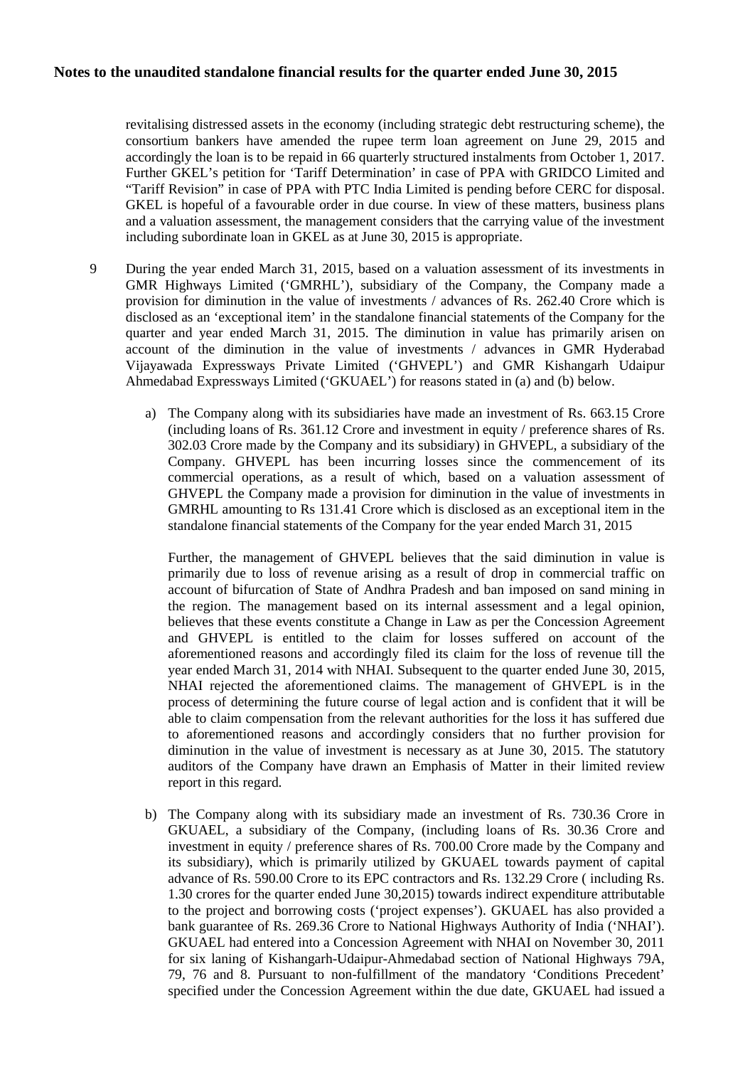revitalising distressed assets in the economy (including strategic debt restructuring scheme), the consortium bankers have amended the rupee term loan agreement on June 29, 2015 and accordingly the loan is to be repaid in 66 quarterly structured instalments from October 1, 2017. Further GKEL's petition for 'Tariff Determination' in case of PPA with GRIDCO Limited and "Tariff Revision" in case of PPA with PTC India Limited is pending before CERC for disposal. GKEL is hopeful of a favourable order in due course. In view of these matters, business plans and a valuation assessment, the management considers that the carrying value of the investment including subordinate loan in GKEL as at June 30, 2015 is appropriate.

- 9 During the year ended March 31, 2015, based on a valuation assessment of its investments in GMR Highways Limited ('GMRHL'), subsidiary of the Company, the Company made a provision for diminution in the value of investments / advances of Rs. 262.40 Crore which is disclosed as an 'exceptional item' in the standalone financial statements of the Company for the quarter and year ended March 31, 2015. The diminution in value has primarily arisen on account of the diminution in the value of investments / advances in GMR Hyderabad Vijayawada Expressways Private Limited ('GHVEPL') and GMR Kishangarh Udaipur Ahmedabad Expressways Limited ('GKUAEL') for reasons stated in (a) and (b) below.
	- a) The Company along with its subsidiaries have made an investment of Rs. 663.15 Crore (including loans of Rs. 361.12 Crore and investment in equity / preference shares of Rs. 302.03 Crore made by the Company and its subsidiary) in GHVEPL, a subsidiary of the Company. GHVEPL has been incurring losses since the commencement of its commercial operations, as a result of which, based on a valuation assessment of GHVEPL the Company made a provision for diminution in the value of investments in GMRHL amounting to Rs 131.41 Crore which is disclosed as an exceptional item in the standalone financial statements of the Company for the year ended March 31, 2015

Further, the management of GHVEPL believes that the said diminution in value is primarily due to loss of revenue arising as a result of drop in commercial traffic on account of bifurcation of State of Andhra Pradesh and ban imposed on sand mining in the region. The management based on its internal assessment and a legal opinion, believes that these events constitute a Change in Law as per the Concession Agreement and GHVEPL is entitled to the claim for losses suffered on account of the aforementioned reasons and accordingly filed its claim for the loss of revenue till the year ended March 31, 2014 with NHAI. Subsequent to the quarter ended June 30, 2015, NHAI rejected the aforementioned claims. The management of GHVEPL is in the process of determining the future course of legal action and is confident that it will be able to claim compensation from the relevant authorities for the loss it has suffered due to aforementioned reasons and accordingly considers that no further provision for diminution in the value of investment is necessary as at June 30, 2015. The statutory auditors of the Company have drawn an Emphasis of Matter in their limited review report in this regard.

b) The Company along with its subsidiary made an investment of Rs. 730.36 Crore in GKUAEL, a subsidiary of the Company, (including loans of Rs. 30.36 Crore and investment in equity / preference shares of Rs. 700.00 Crore made by the Company and its subsidiary), which is primarily utilized by GKUAEL towards payment of capital advance of Rs. 590.00 Crore to its EPC contractors and Rs. 132.29 Crore ( including Rs. 1.30 crores for the quarter ended June 30,2015) towards indirect expenditure attributable to the project and borrowing costs ('project expenses'). GKUAEL has also provided a bank guarantee of Rs. 269.36 Crore to National Highways Authority of India ('NHAI'). GKUAEL had entered into a Concession Agreement with NHAI on November 30, 2011 for six laning of Kishangarh-Udaipur-Ahmedabad section of National Highways 79A, 79, 76 and 8. Pursuant to non-fulfillment of the mandatory 'Conditions Precedent' specified under the Concession Agreement within the due date, GKUAEL had issued a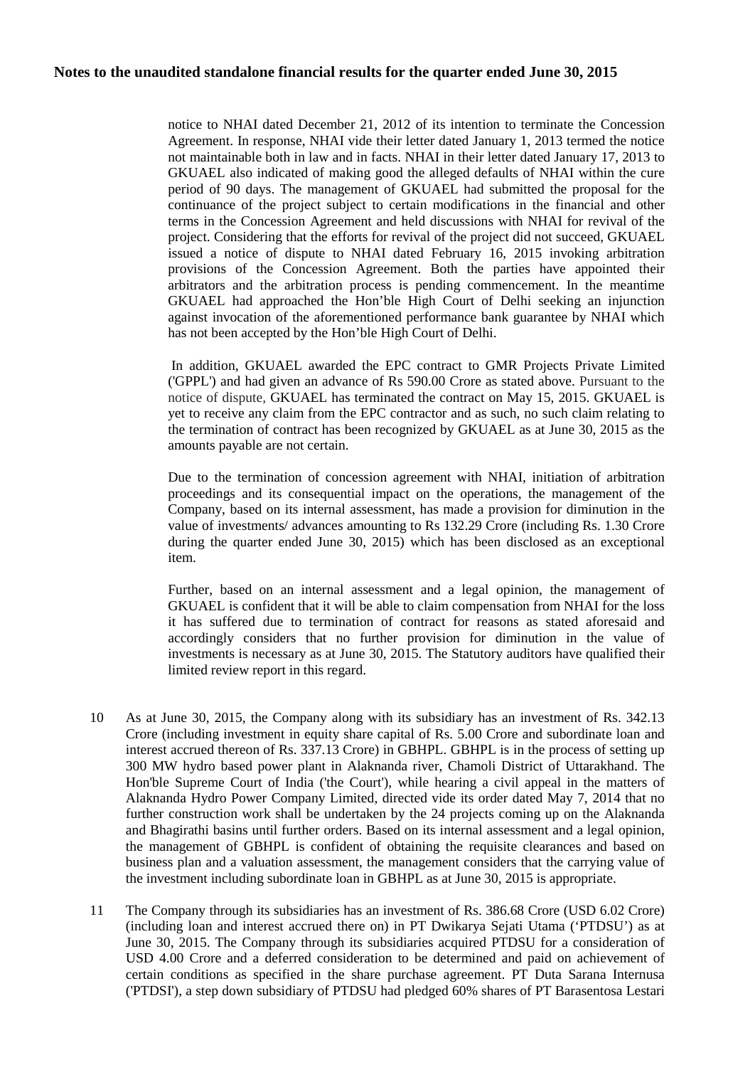notice to NHAI dated December 21, 2012 of its intention to terminate the Concession Agreement. In response, NHAI vide their letter dated January 1, 2013 termed the notice not maintainable both in law and in facts. NHAI in their letter dated January 17, 2013 to GKUAEL also indicated of making good the alleged defaults of NHAI within the cure period of 90 days. The management of GKUAEL had submitted the proposal for the continuance of the project subject to certain modifications in the financial and other terms in the Concession Agreement and held discussions with NHAI for revival of the project. Considering that the efforts for revival of the project did not succeed, GKUAEL issued a notice of dispute to NHAI dated February 16, 2015 invoking arbitration provisions of the Concession Agreement. Both the parties have appointed their arbitrators and the arbitration process is pending commencement. In the meantime GKUAEL had approached the Hon'ble High Court of Delhi seeking an injunction against invocation of the aforementioned performance bank guarantee by NHAI which has not been accepted by the Hon'ble High Court of Delhi.

In addition, GKUAEL awarded the EPC contract to GMR Projects Private Limited ('GPPL') and had given an advance of Rs 590.00 Crore as stated above. Pursuant to the notice of dispute, GKUAEL has terminated the contract on May 15, 2015. GKUAEL is yet to receive any claim from the EPC contractor and as such, no such claim relating to the termination of contract has been recognized by GKUAEL as at June 30, 2015 as the amounts payable are not certain.

Due to the termination of concession agreement with NHAI, initiation of arbitration proceedings and its consequential impact on the operations, the management of the Company, based on its internal assessment, has made a provision for diminution in the value of investments/ advances amounting to Rs 132.29 Crore (including Rs. 1.30 Crore during the quarter ended June 30, 2015) which has been disclosed as an exceptional item.

Further, based on an internal assessment and a legal opinion, the management of GKUAEL is confident that it will be able to claim compensation from NHAI for the loss it has suffered due to termination of contract for reasons as stated aforesaid and accordingly considers that no further provision for diminution in the value of investments is necessary as at June 30, 2015. The Statutory auditors have qualified their limited review report in this regard.

- 10 As at June 30, 2015, the Company along with its subsidiary has an investment of Rs. 342.13 Crore (including investment in equity share capital of Rs. 5.00 Crore and subordinate loan and interest accrued thereon of Rs. 337.13 Crore) in GBHPL. GBHPL is in the process of setting up 300 MW hydro based power plant in Alaknanda river, Chamoli District of Uttarakhand. The Hon'ble Supreme Court of India ('the Court'), while hearing a civil appeal in the matters of Alaknanda Hydro Power Company Limited, directed vide its order dated May 7, 2014 that no further construction work shall be undertaken by the 24 projects coming up on the Alaknanda and Bhagirathi basins until further orders. Based on its internal assessment and a legal opinion, the management of GBHPL is confident of obtaining the requisite clearances and based on business plan and a valuation assessment, the management considers that the carrying value of the investment including subordinate loan in GBHPL as at June 30, 2015 is appropriate.
- 11 The Company through its subsidiaries has an investment of Rs. 386.68 Crore (USD 6.02 Crore) (including loan and interest accrued there on) in PT Dwikarya Sejati Utama ('PTDSU') as at June 30, 2015. The Company through its subsidiaries acquired PTDSU for a consideration of USD 4.00 Crore and a deferred consideration to be determined and paid on achievement of certain conditions as specified in the share purchase agreement. PT Duta Sarana Internusa ('PTDSI'), a step down subsidiary of PTDSU had pledged 60% shares of PT Barasentosa Lestari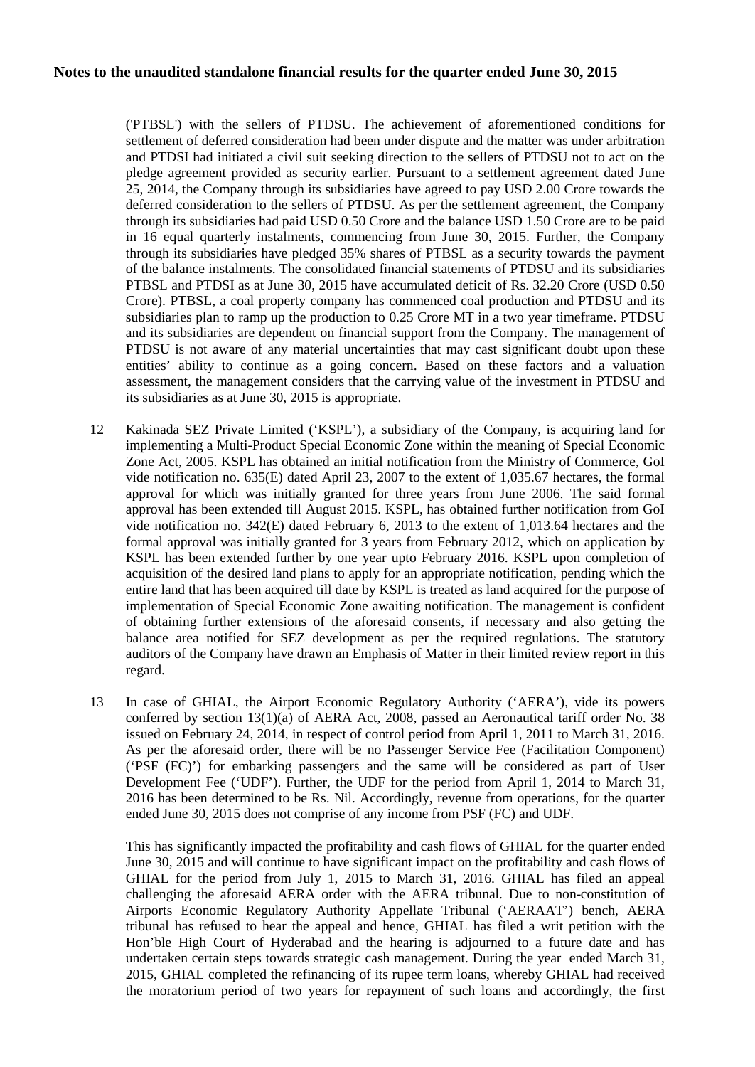('PTBSL') with the sellers of PTDSU. The achievement of aforementioned conditions for settlement of deferred consideration had been under dispute and the matter was under arbitration and PTDSI had initiated a civil suit seeking direction to the sellers of PTDSU not to act on the pledge agreement provided as security earlier. Pursuant to a settlement agreement dated June 25, 2014, the Company through its subsidiaries have agreed to pay USD 2.00 Crore towards the deferred consideration to the sellers of PTDSU. As per the settlement agreement, the Company through its subsidiaries had paid USD 0.50 Crore and the balance USD 1.50 Crore are to be paid in 16 equal quarterly instalments, commencing from June 30, 2015. Further, the Company through its subsidiaries have pledged 35% shares of PTBSL as a security towards the payment of the balance instalments. The consolidated financial statements of PTDSU and its subsidiaries PTBSL and PTDSI as at June 30, 2015 have accumulated deficit of Rs. 32.20 Crore (USD 0.50 Crore). PTBSL, a coal property company has commenced coal production and PTDSU and its subsidiaries plan to ramp up the production to 0.25 Crore MT in a two year timeframe. PTDSU and its subsidiaries are dependent on financial support from the Company. The management of PTDSU is not aware of any material uncertainties that may cast significant doubt upon these entities' ability to continue as a going concern. Based on these factors and a valuation assessment, the management considers that the carrying value of the investment in PTDSU and its subsidiaries as at June 30, 2015 is appropriate.

- 12 Kakinada SEZ Private Limited ('KSPL'), a subsidiary of the Company, is acquiring land for implementing a Multi-Product Special Economic Zone within the meaning of Special Economic Zone Act, 2005. KSPL has obtained an initial notification from the Ministry of Commerce, GoI vide notification no. 635(E) dated April 23, 2007 to the extent of 1,035.67 hectares, the formal approval for which was initially granted for three years from June 2006. The said formal approval has been extended till August 2015. KSPL, has obtained further notification from GoI vide notification no. 342(E) dated February 6, 2013 to the extent of 1,013.64 hectares and the formal approval was initially granted for 3 years from February 2012, which on application by KSPL has been extended further by one year upto February 2016. KSPL upon completion of acquisition of the desired land plans to apply for an appropriate notification, pending which the entire land that has been acquired till date by KSPL is treated as land acquired for the purpose of implementation of Special Economic Zone awaiting notification. The management is confident of obtaining further extensions of the aforesaid consents, if necessary and also getting the balance area notified for SEZ development as per the required regulations. The statutory auditors of the Company have drawn an Emphasis of Matter in their limited review report in this regard.
- 13 In case of GHIAL, the Airport Economic Regulatory Authority ('AERA'), vide its powers conferred by section 13(1)(a) of AERA Act, 2008, passed an Aeronautical tariff order No. 38 issued on February 24, 2014, in respect of control period from April 1, 2011 to March 31, 2016. As per the aforesaid order, there will be no Passenger Service Fee (Facilitation Component) ('PSF (FC)') for embarking passengers and the same will be considered as part of User Development Fee ('UDF'). Further, the UDF for the period from April 1, 2014 to March 31, 2016 has been determined to be Rs. Nil. Accordingly, revenue from operations, for the quarter ended June 30, 2015 does not comprise of any income from PSF (FC) and UDF.

This has significantly impacted the profitability and cash flows of GHIAL for the quarter ended June 30, 2015 and will continue to have significant impact on the profitability and cash flows of GHIAL for the period from July 1, 2015 to March 31, 2016. GHIAL has filed an appeal challenging the aforesaid AERA order with the AERA tribunal. Due to non-constitution of Airports Economic Regulatory Authority Appellate Tribunal ('AERAAT') bench, AERA tribunal has refused to hear the appeal and hence, GHIAL has filed a writ petition with the Hon'ble High Court of Hyderabad and the hearing is adjourned to a future date and has undertaken certain steps towards strategic cash management. During the year ended March 31, 2015, GHIAL completed the refinancing of its rupee term loans, whereby GHIAL had received the moratorium period of two years for repayment of such loans and accordingly, the first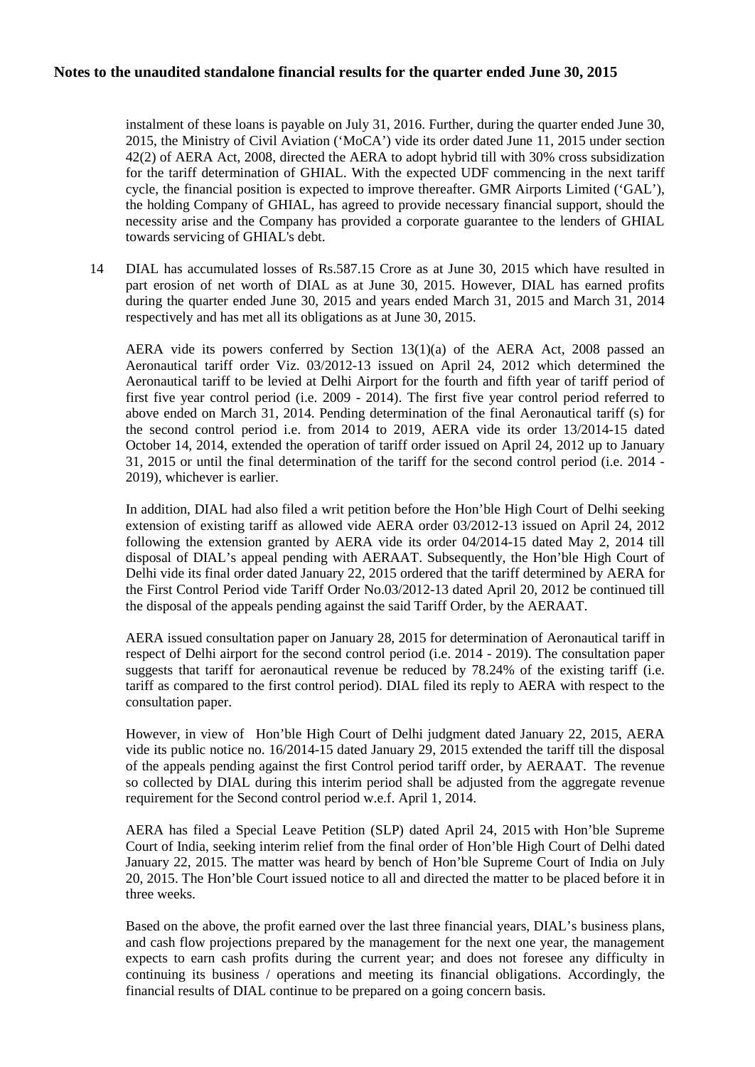instalment of these loans is payable on July 31, 2016. Further, during the quarter ended June 30, 2015, the Ministry of Civil Aviation ('MoCA') vide its order dated June 11, 2015 under section 42(2) of AERA Act, 2008, directed the AERA to adopt hybrid till with 30% cross subsidization for the tariff determination of GHIAL. With the expected UDF commencing in the next tariff cycle, the financial position is expected to improve thereafter. GMR Airports Limited ('GAL'), the holding Company of GHIAL, has agreed to provide necessary financial support, should the necessity arise and the Company has provided a corporate guarantee to the lenders of GHIAL towards servicing of GHIAL's debt.

14 DIAL has accumulated losses of Rs.587.15 Crore as at June 30, 2015 which have resulted in part erosion of net worth of DIAL as at June 30, 2015. However, DIAL has earned profits during the quarter ended June 30, 2015 and years ended March 31, 2015 and March 31, 2014 respectively and has met all its obligations as at June 30, 2015.

AERA vide its powers conferred by Section 13(1)(a) of the AERA Act, 2008 passed an Aeronautical tariff order Viz. 03/2012-13 issued on April 24, 2012 which determined the Aeronautical tariff to be levied at Delhi Airport for the fourth and fifth year of tariff period of first five year control period (i.e.  $2009 - 2014$ ). The first five year control period referred to above ended on March 31, 2014. Pending determination of the final Aeronautical tariff (s) for the second control period i.e. from 2014 to 2019, AERA vide its order 13/2014-15 dated October 14, 2014, extended the operation of tariff order issued on April 24, 2012 up to January 31, 2015 or until the final determination of the tariff for the second control period (i.e. 2014 - 2019), whichever is earlier.

In addition, DIAL had also filed a writ petition before the Hon'ble High Court of Delhi seeking extension of existing tariff as allowed vide AERA order 03/2012-13 issued on April 24, 2012 following the extension granted by AERA vide its order 04/2014-15 dated May 2, 2014 till disposal of DIAL's appeal pending with AERAAT. Subsequently, the Hon'ble High Court of Delhi vide its final order dated January 22, 2015 ordered that the tariff determined by AERA for the First Control Period vide Tariff Order No.03/2012-13 dated April 20, 2012 be continued till the disposal of the appeals pending against the said Tariff Order, by the AERAAT.

AERA issued consultation paper on January 28, 2015 for determination of Aeronautical tariff in respect of Delhi airport for the second control period (i.e. 2014 - 2019). The consultation paper suggests that tariff for aeronautical revenue be reduced by 78.24% of the existing tariff (i.e. tariff as compared to the first control period). DIAL filed its reply to AERA with respect to the consultation paper.

However, in view of Hon'ble High Court of Delhi judgment dated January 22, 2015, AERA vide its public notice no. 16/2014-15 dated January 29, 2015 extended the tariff till the disposal of the appeals pending against the first Control period tariff order, by AERAAT. The revenue so collected by DIAL during this interim period shall be adjusted from the aggregate revenue requirement for the Second control period w.e.f. April 1, 2014.

AERA has filed a Special Leave Petition (SLP) dated April 24, 2015 with Hon'ble Supreme Court of India, seeking interim relief from the final order of Hon'ble High Court of Delhi dated January 22, 2015. The matter was heard by bench of Hon'ble Supreme Court of India on July 20, 2015. The Hon'ble Court issued notice to all and directed the matter to be placed before it in three weeks.

Based on the above, the profit earned over the last three financial years, DIAL's business plans, and cash flow projections prepared by the management for the next one year, the management expects to earn cash profits during the current year; and does not foresee any difficulty in continuing its business / operations and meeting its financial obligations. Accordingly, the financial results of DIAL continue to be prepared on a going concern basis.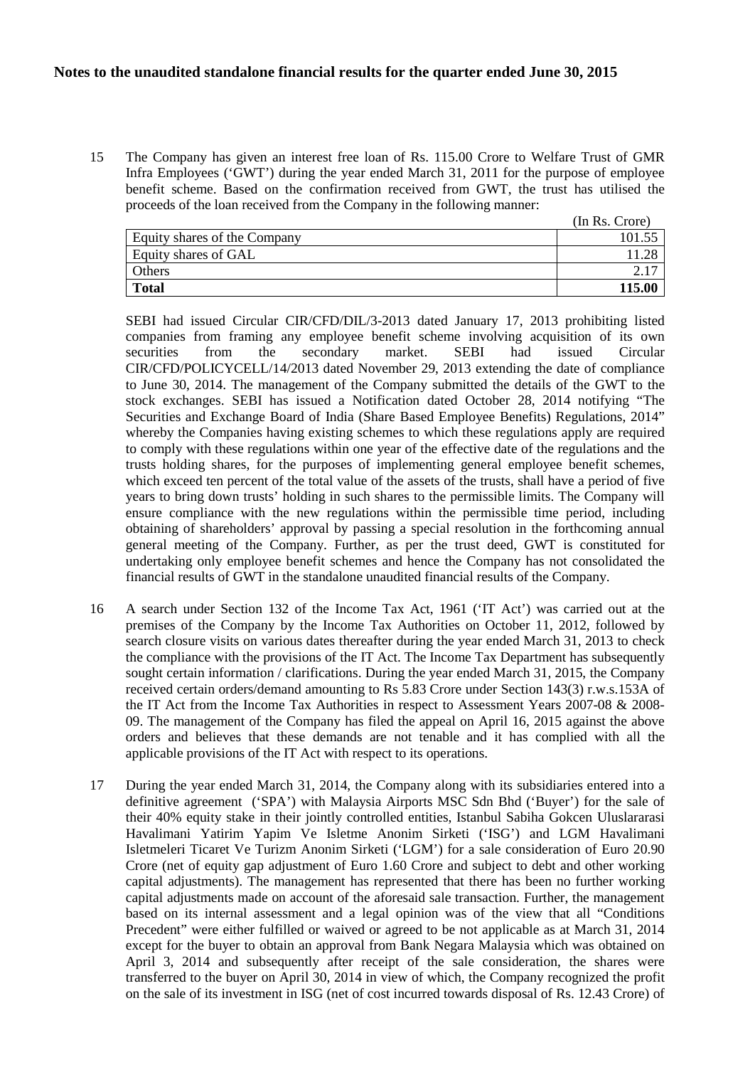15 The Company has given an interest free loan of Rs. 115.00 Crore to Welfare Trust of GMR Infra Employees ('GWT') during the year ended March 31, 2011 for the purpose of employee benefit scheme. Based on the confirmation received from GWT, the trust has utilised the proceeds of the loan received from the Company in the following manner:

|                              | (In Rs. Crore) |
|------------------------------|----------------|
| Equity shares of the Company | 101.55         |
| Equity shares of GAL         |                |
| Others                       |                |
| <b>Total</b>                 | 115.00         |

SEBI had issued Circular CIR/CFD/DIL/3-2013 dated January 17, 2013 prohibiting listed companies from framing any employee benefit scheme involving acquisition of its own securities from the secondary market. SEBI had issued Circular CIR/CFD/POLICYCELL/14/2013 dated November 29, 2013 extending the date of compliance to June 30, 2014. The management of the Company submitted the details of the GWT to the stock exchanges. SEBI has issued a Notification dated October 28, 2014 notifying "The Securities and Exchange Board of India (Share Based Employee Benefits) Regulations, 2014" whereby the Companies having existing schemes to which these regulations apply are required to comply with these regulations within one year of the effective date of the regulations and the trusts holding shares, for the purposes of implementing general employee benefit schemes, which exceed ten percent of the total value of the assets of the trusts, shall have a period of five years to bring down trusts' holding in such shares to the permissible limits. The Company will ensure compliance with the new regulations within the permissible time period, including obtaining of shareholders' approval by passing a special resolution in the forthcoming annual general meeting of the Company. Further, as per the trust deed, GWT is constituted for undertaking only employee benefit schemes and hence the Company has not consolidated the financial results of GWT in the standalone unaudited financial results of the Company.

- 16 A search under Section 132 of the Income Tax Act, 1961 ('IT Act') was carried out at the premises of the Company by the Income Tax Authorities on October 11, 2012, followed by search closure visits on various dates thereafter during the year ended March 31, 2013 to check the compliance with the provisions of the IT Act. The Income Tax Department has subsequently sought certain information / clarifications. During the year ended March 31, 2015, the Company received certain orders/demand amounting to Rs 5.83 Crore under Section 143(3) r.w.s.153A of the IT Act from the Income Tax Authorities in respect to Assessment Years 2007-08 & 2008- 09. The management of the Company has filed the appeal on April 16, 2015 against the above orders and believes that these demands are not tenable and it has complied with all the applicable provisions of the IT Act with respect to its operations.
- 17 During the year ended March 31, 2014, the Company along with its subsidiaries entered into a definitive agreement ('SPA') with Malaysia Airports MSC Sdn Bhd ('Buyer') for the sale of their 40% equity stake in their jointly controlled entities, Istanbul Sabiha Gokcen Uluslararasi Havalimani Yatirim Yapim Ve Isletme Anonim Sirketi ('ISG') and LGM Havalimani Isletmeleri Ticaret Ve Turizm Anonim Sirketi ('LGM') for a sale consideration of Euro 20.90 Crore (net of equity gap adjustment of Euro 1.60 Crore and subject to debt and other working capital adjustments). The management has represented that there has been no further working capital adjustments made on account of the aforesaid sale transaction. Further, the management based on its internal assessment and a legal opinion was of the view that all "Conditions Precedent" were either fulfilled or waived or agreed to be not applicable as at March 31, 2014 except for the buyer to obtain an approval from Bank Negara Malaysia which was obtained on April 3, 2014 and subsequently after receipt of the sale consideration, the shares were transferred to the buyer on April 30, 2014 in view of which, the Company recognized the profit on the sale of its investment in ISG (net of cost incurred towards disposal of Rs. 12.43 Crore) of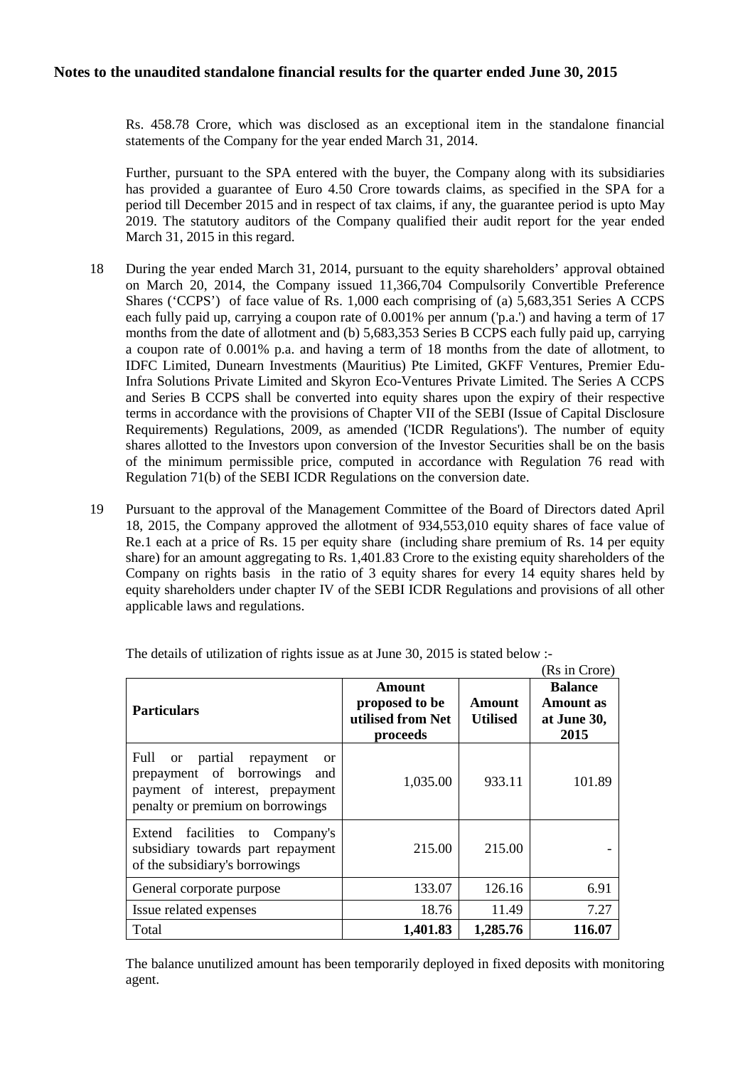Rs. 458.78 Crore, which was disclosed as an exceptional item in the standalone financial statements of the Company for the year ended March 31, 2014.

Further, pursuant to the SPA entered with the buyer, the Company along with its subsidiaries has provided a guarantee of Euro 4.50 Crore towards claims, as specified in the SPA for a period till December 2015 and in respect of tax claims, if any, the guarantee period is upto May 2019. The statutory auditors of the Company qualified their audit report for the year ended March 31, 2015 in this regard.

- 18 During the year ended March 31, 2014, pursuant to the equity shareholders' approval obtained on March 20, 2014, the Company issued 11,366,704 Compulsorily Convertible Preference Shares ('CCPS') of face value of Rs. 1,000 each comprising of (a) 5,683,351 Series A CCPS each fully paid up, carrying a coupon rate of 0.001% per annum ('p.a.') and having a term of 17 months from the date of allotment and (b) 5,683,353 Series B CCPS each fully paid up, carrying a coupon rate of 0.001% p.a. and having a term of 18 months from the date of allotment, to IDFC Limited, Dunearn Investments (Mauritius) Pte Limited, GKFF Ventures, Premier Edu-Infra Solutions Private Limited and Skyron Eco-Ventures Private Limited. The Series A CCPS and Series B CCPS shall be converted into equity shares upon the expiry of their respective terms in accordance with the provisions of Chapter VII of the SEBI (Issue of Capital Disclosure Requirements) Regulations, 2009, as amended ('ICDR Regulations'). The number of equity shares allotted to the Investors upon conversion of the Investor Securities shall be on the basis of the minimum permissible price, computed in accordance with Regulation 76 read with Regulation 71(b) of the SEBI ICDR Regulations on the conversion date.
- 19 Pursuant to the approval of the Management Committee of the Board of Directors dated April 18, 2015, the Company approved the allotment of 934,553,010 equity shares of face value of Re.1 each at a price of Rs. 15 per equity share (including share premium of Rs. 14 per equity share) for an amount aggregating to Rs. 1,401.83 Crore to the existing equity shareholders of the Company on rights basis in the ratio of 3 equity shares for every 14 equity shares held by equity shareholders under chapter IV of the SEBI ICDR Regulations and provisions of all other applicable laws and regulations.

|                                                                                                                                                                          |                                                           |                           | (Rs in Crore)                                             |
|--------------------------------------------------------------------------------------------------------------------------------------------------------------------------|-----------------------------------------------------------|---------------------------|-----------------------------------------------------------|
| <b>Particulars</b>                                                                                                                                                       | Amount<br>proposed to be<br>utilised from Net<br>proceeds | Amount<br><b>Utilised</b> | <b>Balance</b><br><b>Amount</b> as<br>at June 30,<br>2015 |
| Full<br>partial<br>repayment<br><sub>or</sub><br><sub>or</sub><br>prepayment of borrowings<br>and<br>payment of interest, prepayment<br>penalty or premium on borrowings | 1,035.00                                                  | 933.11                    | 101.89                                                    |
| Extend facilities to<br>Company's<br>subsidiary towards part repayment<br>of the subsidiary's borrowings                                                                 | 215.00                                                    | 215.00                    |                                                           |
| General corporate purpose                                                                                                                                                | 133.07                                                    | 126.16                    | 6.91                                                      |
| Issue related expenses                                                                                                                                                   | 18.76                                                     | 11.49                     | 7.27                                                      |
| Total                                                                                                                                                                    | 1,401.83                                                  | 1,285.76                  | 116.07                                                    |

The details of utilization of rights issue as at June 30, 2015 is stated below :-

The balance unutilized amount has been temporarily deployed in fixed deposits with monitoring agent.